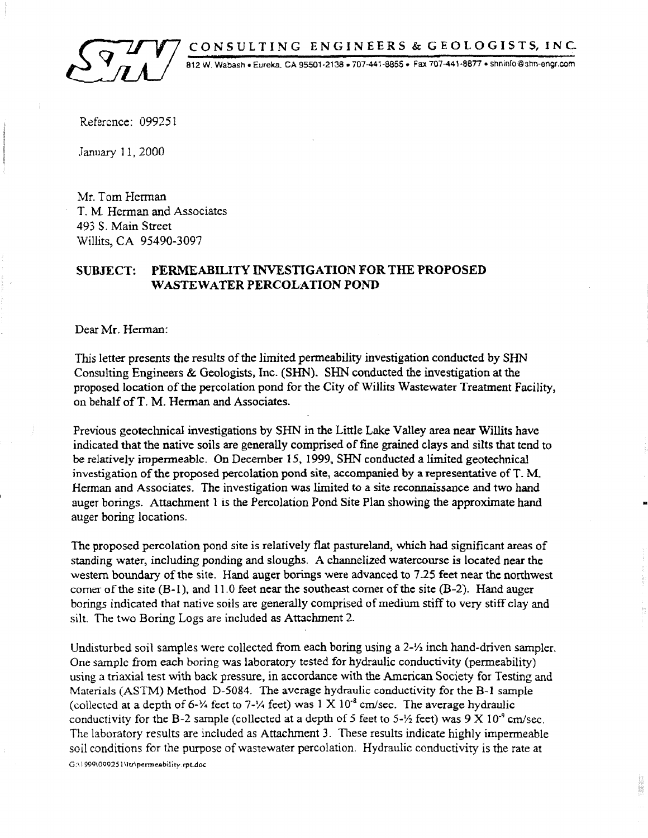CONSULTING ENGINEERS & GEOLOGISTS, INC.

812 W. Wabash • Eureka, CA 95501-2138 • 707-441-8855 • Fax 707-441-8877 • shninfo@shn-engr.com

Reference: 099251

January 11, 2000

Mr. Tom Herman T. M. Herman and Associates 493 S. Main Street Willits, CA 95490-3097

#### SUBJECT: PERMEABILITY INVESTIGATION FOR THE PROPOSED WASTEWATER PERCOLATION POND

Dear Mr. Herman:

This letter presents the results of the limited permeability investigation conducted by SHN Consulting Engineers & Geologists, Inc. (SHN). SHN conducted the investigation at the proposed location of the percolation pond for the City of Willits Wastewater Treatment Facility, on behalf ofT. M. Herman and Associates.

Previous geotechnical investigations by SHN in the Little Lake Valley area near Willits have indicated that the native soils are generally comprised of fine grained clays and silts that tend to be relatively impenneable. On December 15, 1999. SHN conducted a limited geotechnical investigation of the proposed percolation pond site, accompanied by a representative ofT. M. Herman and Associates. The investigation was limited to a site reconnaissance and two hand auger borings. Attachment 1 is the Percolation Pond Site Plan showing the approximate hand auger boring locations.

•

The proposed percolation pond site is relatively flat pastureland, which had significant areas of standing water, including ponding and sloughs. A channelized watercourse is located near the western boundary of the site. Hand auger borings were advanced to 7.25 feet near the northwest comer of the site (B-1), and 11.0 feet near the southeast comer of the site (B-2). Hand auger borings indicated that native soils are generally comprised of medium stiff to very stiff clay and silt. The two Boring Logs are included as Attachment 2.

Undisturbed soil samples were collected from each boring using a  $2-\frac{1}{2}$  inch hand-driven sampler. One sample from each boring was laboratory tested for hydraulic conductivity (permeability) using a triaxial test with back pressure, in accordance with the American Society for Testing and Materials (ASTM) Method D-5084. The average hydraulic conductivity for the B-1 sample (collected at a depth of 6- $\frac{1}{4}$  feet to 7- $\frac{1}{4}$  feet) was 1 X 10<sup>-8</sup> cm/sec. The average hydraulic conductivity for the B-2 sample (collected at a depth of 5 feet to 5- $\frac{1}{2}$  feet) was 9 X 10<sup>-9</sup> cm/sec. The laboratory results are included as Attachment 3. These results indicate highly impermeable soil conditions for the purpose of wastewater percolation. Hydraulic conductivity is the rate at G:\ 1999\09925 l \lu\permeability.rpt.doc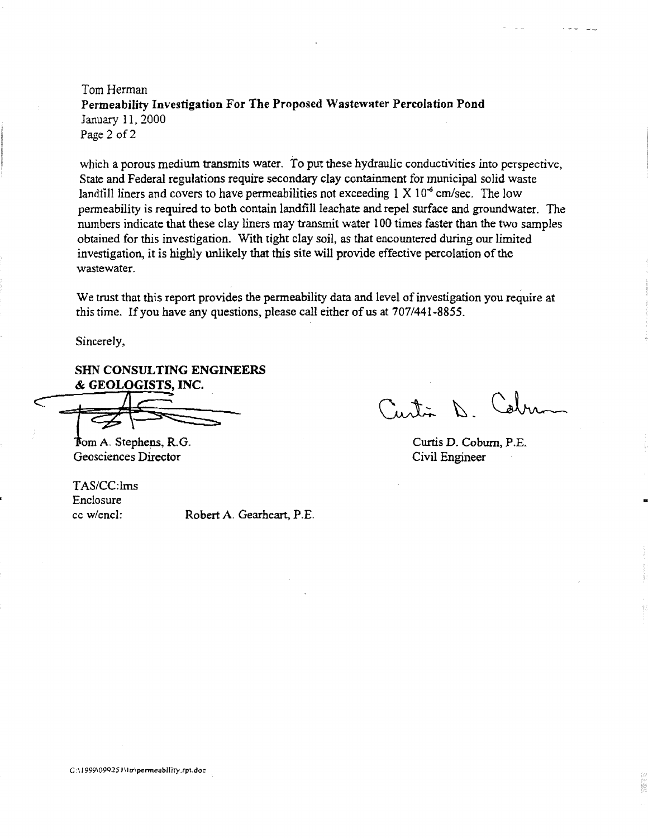Tom Herman Permeability Investigation For The Proposed Wastewater Percolation Pond January 11, 2000 Page 2 of 2

which a porous medium transmits water. To put these hydraulic conductivities into perspective, State and Federal regulations require secondary clay containment for municipal solid waste landfill liners and covers to have permeabilities not exceeding  $1 \times 10^{-6}$  cm/sec. The low penneability is required to both contain landfill leachate and repel surface and groundwater. The numbers indicate that these clay liners may transmit water 100 times faster than the two samples obtained for this investigation. With tight clay soil, as that encountered during our limited investigation, it is highly unlikely that this site will provide effective percolation of the wastewater.

We trust that this report provides the permeability data and level of investigation you require at this time. If you have any questions, please call either of us at 707/441-8855.

Sincerely,

SHN CONSULTING ENGINEERS & GEOLOGISTS, INC.

& GEOLOGISTS, INC.

Geosciences Director

*TASICC:Ims*  Enclosure cc w/encl: Robert A. Gearheart, P.E.

antion D

•

Curtis D. Coburn, P.E. Civil Engineer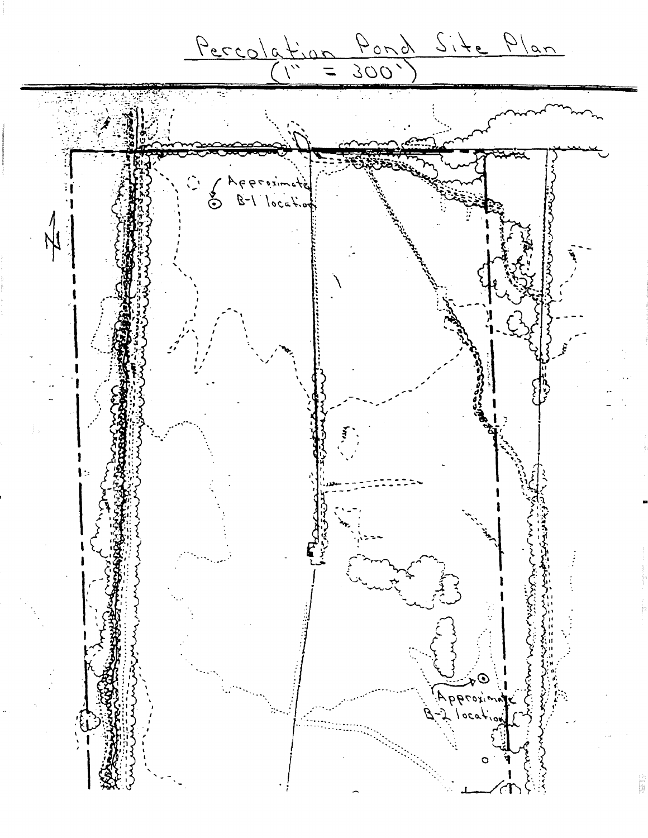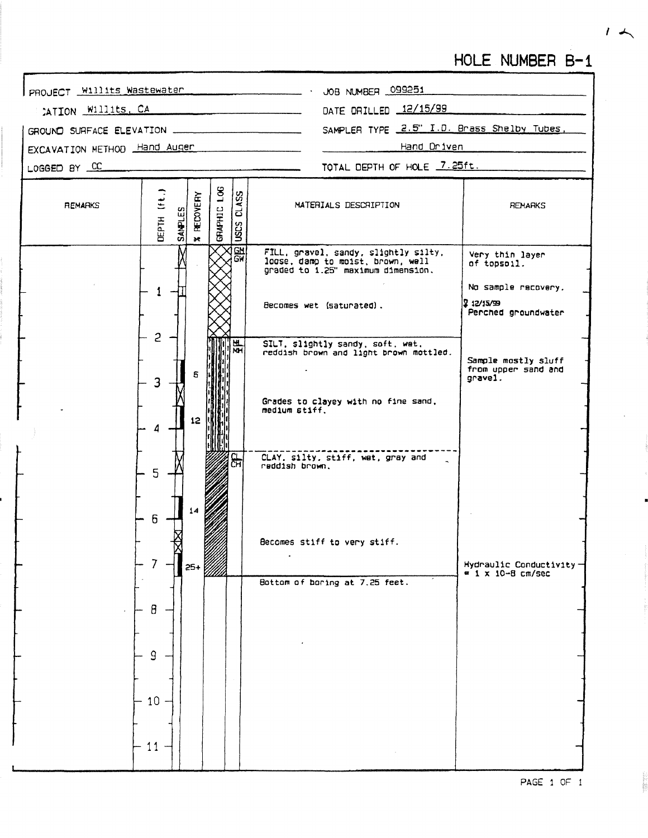### HOLE NUMBER B-1

PROJECT Willits Wastewater - . JOB NUMBER 099251 CATION WILLIES, CA DATE ORILLED 12/15/99 SAMPLER TYPE 2.5" I.D. Brass Shelby Tubes, GROUND SURFACE ELEVATION ..... EXCAVATION METHOD Hand Auger Hand Driven TOTAL DEPTH OF HOLE 7.25ft. LOGGED BY CC GRAPHIC LOG  $(11)$ CLASS **RECOVERY** MATERIALS DESCRIPTION **REMARKS REMARKS SAMPLES** ЦЕРТН **ISCS**  $\overline{\mathbf{r}}$  $\overline{GM}$ FILL, gravel, sandy, slightly silty,<br>loose, damp to moist, brown, well<br>graded to 1.25" maximum dimension. Very thin layer<br>of topsoil. GЧ No sample recovery.  $\mathbf{1}$  $212/15/99$ Becomes wet (saturated). Perched groundwater  $\overline{c}$ SILT, slightly sandy, soft, wet.<br>reddish brown and light brown mottled. M. ѿ Sample mostly sluff from upper sand and 6 grave1. 3 Grades to clayey with no fine sand.<br>medium stiff.  $12$ CLAY, silty, stiff, wat, gray and<br>reddish brown. င်္က 5  $6\overline{6}$ Becomes stiff to very stiff.  $\ddot{\phantom{a}}$  $7<sup>1</sup>$ Hydraulic Conductivity  $25+$  $= 1 \times 10 - 8$  cm/sec Bottom of boring at 7.25 feet.  $\beta$  $\mathsf{q}$  $-10 -11$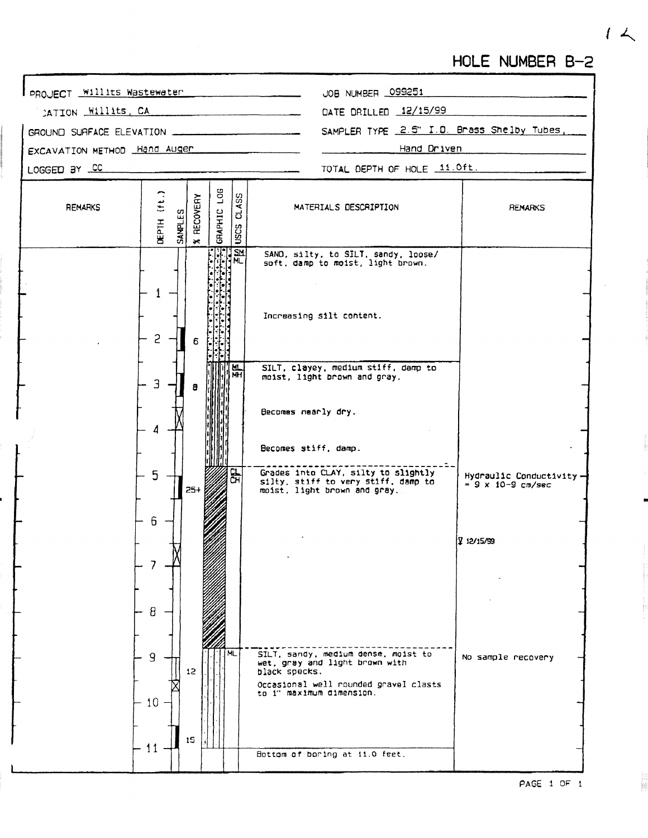## HOLE NUMBER B-2

JOB NUMBER 099251 PROJECT Willits Wastewater DATE DRILLED 12/15/99 CATION Willits, CA SAMPLER TYPE 2.5" I.D. Brass Shelby Tubes, GROUND SURFACE ELEVATION \_ Hand Driven EXCAVATION METHOD Hand Auger TOTAL DEPTH OF HOLE 11.0ft. LOGGED BY CC  $(f(t_{i})$ GRAPHIC LOG **CLASS** RECOVERY **REMARKS** MATERIALS DESCRIPTION **REMARKS SAMPLES DEPTH USCS**  $\star$ SAND, silty, to SILT, sandy, loose/<br>soft, damp to moist, light brown.  $\mathbf{1}$ Increasing silt content.  $\overline{c}$ 6 E :H SILT, clayey, medium stiff, damp to Mt ਮੌਜ maist, light brown and gray.  $\mathbf{B}$  $\mathbf{B}$ Becomes nearly dry. 4 Becomes stiff, damp. Grades into CLAY, silty to slightly<br>silty, stiff to very stiff, damp to<br>moist, light brown and gray.  $\mathbf{P}$ 5 Hydraulic Conductivity- $= 9 \times 10 - 9 \text{ cm/sec}$  $25+$  $6\phantom{1}$ פנעזנע צ  $\overline{7}$  $\theta$ SILT, sandy, medium dense, moist to<br>wet, gray and light brown with ML  $\mathsf{q}$ No sample recovery  $12<sub>2</sub>$ black specks. Occasional well rounded gravel clasts<br>to i" maximum dimension.  $10$  $15$  $11 -$ Bottom of boring at 11.0 feet.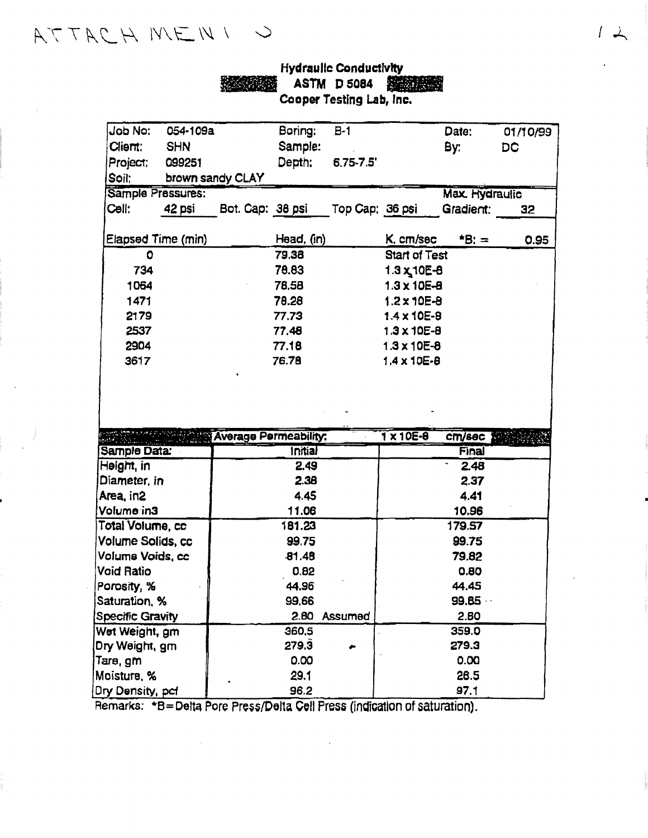# ATTACH MENI U

| <b>Hydraulic Conductivity</b> |                                       |
|-------------------------------|---------------------------------------|
|                               | <b>SANGHING ASTM D 5084 SHEETINGS</b> |
| Cooper Testing Lab, Inc.      |                                       |

| Job No:                 | 054-109a   |                              | Boring:        | $B-1$           |                       | Date:        | 01/10/99 |
|-------------------------|------------|------------------------------|----------------|-----------------|-----------------------|--------------|----------|
| Client:                 | <b>SHN</b> |                              | Sample:        |                 |                       | By:          | DC       |
| Project;                | 099251     |                              | Depth:         | $6.75 - 7.5'$   |                       |              |          |
| Soil;                   |            | brown sandy CLAY             |                |                 |                       |              |          |
| Sample Pressures:       |            |                              |                |                 | <b>Max. Hydraulic</b> |              |          |
| Cell:                   | 42 psi     | Bot. Cap: 38 psi             |                | Top Cap: 36 psi |                       | Gradient:    | 32       |
| Elapsed Time (min)      |            |                              | Head, (in)     |                 | K. cm/sec             | $*B: =$      | 0.95     |
| 0                       |            |                              | 79.38          |                 | <b>Start of Test</b>  |              |          |
| 734                     |            |                              | 78.83          |                 | $1.3 \times 10E - 8$  |              |          |
| 1064                    |            |                              | 78,58          |                 | $1.3 \times 10E - 8$  |              |          |
| 1471                    |            |                              | 78.28          |                 | $1.2 \times 10E - B$  |              |          |
| 2179                    |            |                              | 77.73          |                 | $1.4 \times 10E - B$  |              |          |
| 2537                    |            |                              | 77.48          |                 | $1.3 \times 10E - B$  |              |          |
| 2904                    |            |                              | 77.18          |                 | $1.3 \times 10E - 8$  |              |          |
| 3617                    |            |                              | 76.78          |                 | $1.4 \times 10E - 8$  |              |          |
|                         |            | <b>Average Permeability:</b> |                |                 | $1 \times 10E - 8$    | cm/sec       |          |
| Sample Data:            |            |                              | <b>Initial</b> |                 |                       | <b>Final</b> |          |
| Height, in              |            |                              | 2.49           |                 |                       | 2.48         |          |
| Diameter, in            |            |                              | 2.38           |                 |                       | 2.37         |          |
| Area, in2               |            |                              | 4.45           |                 |                       | 4.41         |          |
| Volume in3              |            |                              | 11.06          |                 |                       | 10.96        |          |
| Total Volume, cc        |            |                              | 181.23         |                 |                       | 179.57       |          |
| Volume Solids, cc       |            |                              | 99.75          |                 |                       | 99.75        |          |
| Volume Voids, cc        |            |                              | 81.48          |                 |                       | 79.82        |          |
| <b>Void Ratio</b>       |            |                              | 0.82           |                 |                       | 0.80         |          |
| Porosity, %             |            |                              | 44.96          |                 |                       | 44.45        |          |
| Saturation, %           |            |                              | 99,66          |                 |                       | 99.65        |          |
| <b>Specific Gravity</b> |            |                              |                | 2.80 Assumed    |                       | 2.80         |          |
| Wet Weight, gm          |            |                              | 360,5          |                 |                       | 359.0        |          |
| Dry Weight, gm          |            |                              | 279.3          |                 |                       | 279.3        |          |
| Tare, gm                |            |                              | 0.00           |                 |                       | 0.00         |          |
| Moisture, %             |            |                              | 29.1           |                 |                       | 28.5         |          |
| Dry Density, pcf        |            |                              | 96.2           |                 |                       | 97.1         |          |

Remarks: \*B=Delta Pore Press/Delta Cell Press (indication of saturation).